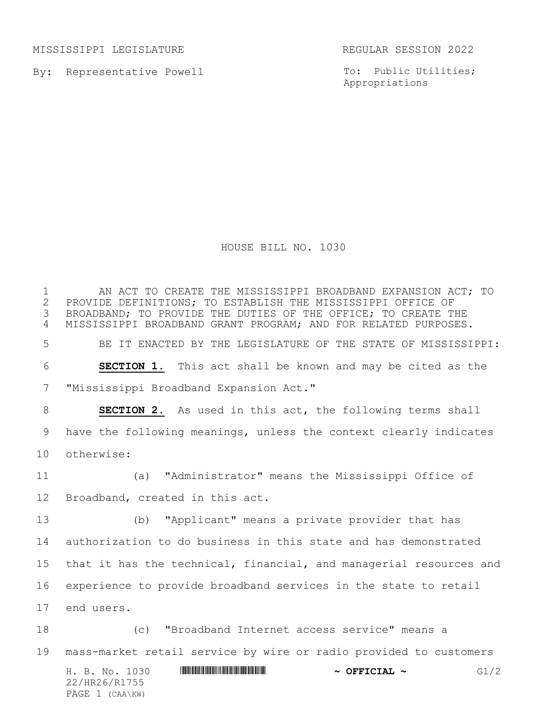MISSISSIPPI LEGISLATURE REGULAR SESSION 2022

By: Representative Powell

To: Public Utilities; Appropriations

HOUSE BILL NO. 1030

1 AN ACT TO CREATE THE MISSISSIPPI BROADBAND EXPANSION ACT; TO<br>2 PROVIDE DEFINITIONS; TO ESTABLISH THE MISSISSIPPI OFFICE OF 2 PROVIDE DEFINITIONS; TO ESTABLISH THE MISSISSIPPI OFFICE OF<br>3 BROADBAND; TO PROVIDE THE DUTIES OF THE OFFICE; TO CREATE T BROADBAND; TO PROVIDE THE DUTIES OF THE OFFICE; TO CREATE THE MISSISSIPPI BROADBAND GRANT PROGRAM; AND FOR RELATED PURPOSES. BE IT ENACTED BY THE LEGISLATURE OF THE STATE OF MISSISSIPPI: **SECTION 1.** This act shall be known and may be cited as the "Mississippi Broadband Expansion Act." **SECTION 2.** As used in this act, the following terms shall have the following meanings, unless the context clearly indicates otherwise: (a) "Administrator" means the Mississippi Office of Broadband, created in this act. (b) "Applicant" means a private provider that has authorization to do business in this state and has demonstrated that it has the technical, financial, and managerial resources and experience to provide broadband services in the state to retail end users. (c) "Broadband Internet access service" means a

mass-market retail service by wire or radio provided to customers

H. B. No. 1030 \*HR26/R1755\* **~ OFFICIAL ~** G1/2 22/HR26/R1755 PAGE 1 (CAA\KW)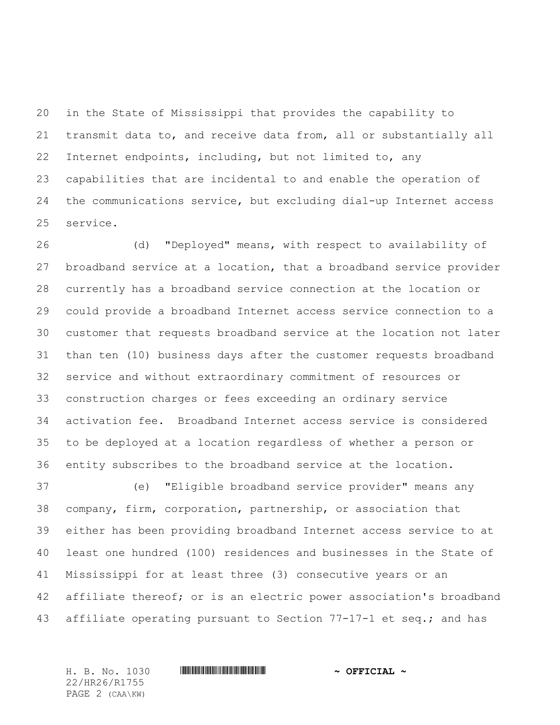in the State of Mississippi that provides the capability to transmit data to, and receive data from, all or substantially all Internet endpoints, including, but not limited to, any capabilities that are incidental to and enable the operation of the communications service, but excluding dial-up Internet access service.

 (d) "Deployed" means, with respect to availability of broadband service at a location, that a broadband service provider currently has a broadband service connection at the location or could provide a broadband Internet access service connection to a customer that requests broadband service at the location not later than ten (10) business days after the customer requests broadband service and without extraordinary commitment of resources or construction charges or fees exceeding an ordinary service activation fee. Broadband Internet access service is considered to be deployed at a location regardless of whether a person or entity subscribes to the broadband service at the location.

 (e) "Eligible broadband service provider" means any company, firm, corporation, partnership, or association that either has been providing broadband Internet access service to at least one hundred (100) residences and businesses in the State of Mississippi for at least three (3) consecutive years or an affiliate thereof; or is an electric power association's broadband affiliate operating pursuant to Section 77-17-1 et seq.; and has

22/HR26/R1755 PAGE 2 (CAA\KW)

H. B. No. 1030 \*HR26/R1755\* **~ OFFICIAL ~**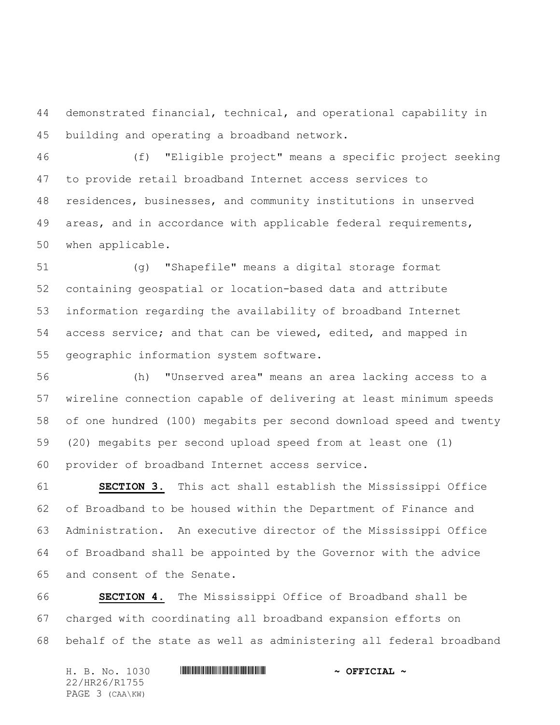demonstrated financial, technical, and operational capability in building and operating a broadband network.

 (f) "Eligible project" means a specific project seeking to provide retail broadband Internet access services to residences, businesses, and community institutions in unserved areas, and in accordance with applicable federal requirements, when applicable.

 (g) "Shapefile" means a digital storage format containing geospatial or location-based data and attribute information regarding the availability of broadband Internet access service; and that can be viewed, edited, and mapped in geographic information system software.

 (h) "Unserved area" means an area lacking access to a wireline connection capable of delivering at least minimum speeds of one hundred (100) megabits per second download speed and twenty (20) megabits per second upload speed from at least one (1) provider of broadband Internet access service.

 **SECTION 3.** This act shall establish the Mississippi Office of Broadband to be housed within the Department of Finance and Administration. An executive director of the Mississippi Office of Broadband shall be appointed by the Governor with the advice and consent of the Senate.

 **SECTION 4.** The Mississippi Office of Broadband shall be charged with coordinating all broadband expansion efforts on behalf of the state as well as administering all federal broadband

| H. B. No. 1030  | $\sim$ OFFICIAL $\sim$ |
|-----------------|------------------------|
| 22/HR26/R1755   |                        |
| PAGE 3 (CAA\KW) |                        |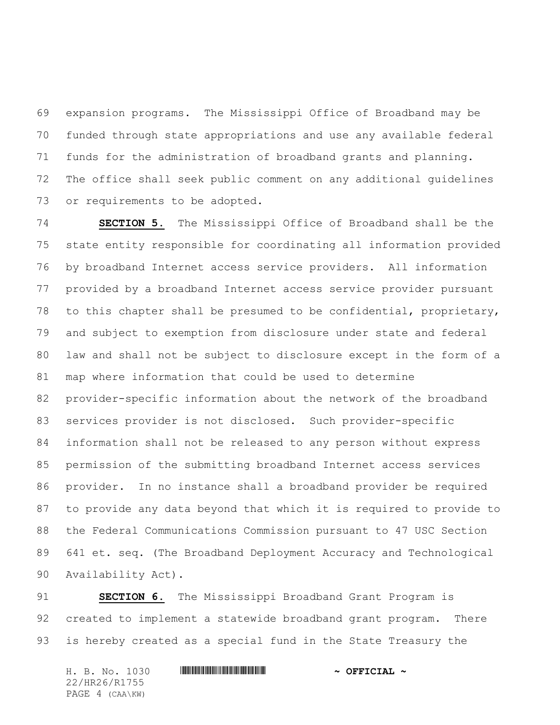expansion programs. The Mississippi Office of Broadband may be funded through state appropriations and use any available federal funds for the administration of broadband grants and planning. The office shall seek public comment on any additional guidelines or requirements to be adopted.

 **SECTION 5.** The Mississippi Office of Broadband shall be the state entity responsible for coordinating all information provided by broadband Internet access service providers. All information provided by a broadband Internet access service provider pursuant to this chapter shall be presumed to be confidential, proprietary, and subject to exemption from disclosure under state and federal law and shall not be subject to disclosure except in the form of a map where information that could be used to determine provider-specific information about the network of the broadband services provider is not disclosed. Such provider-specific information shall not be released to any person without express permission of the submitting broadband Internet access services provider. In no instance shall a broadband provider be required to provide any data beyond that which it is required to provide to the Federal Communications Commission pursuant to 47 USC Section 641 et. seq. (The Broadband Deployment Accuracy and Technological Availability Act).

 **SECTION 6.** The Mississippi Broadband Grant Program is created to implement a statewide broadband grant program. There is hereby created as a special fund in the State Treasury the

H. B. No. 1030 **. HREFICIAL ~ OFFICIAL ~** 22/HR26/R1755 PAGE 4 (CAA\KW)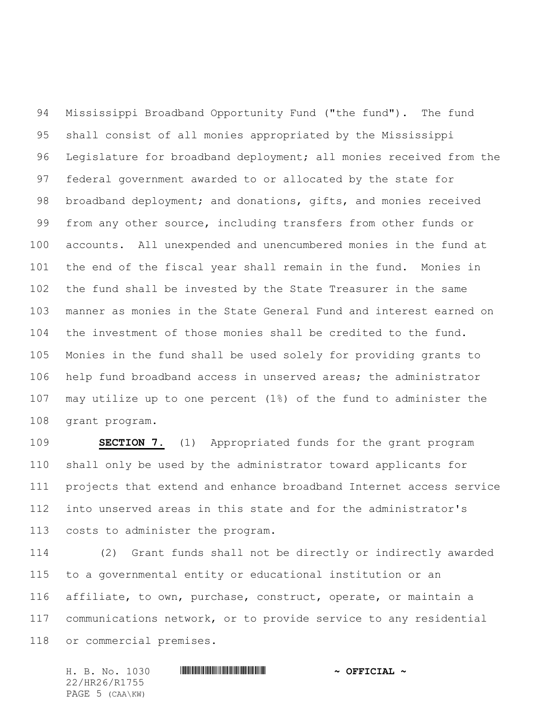Mississippi Broadband Opportunity Fund ("the fund"). The fund shall consist of all monies appropriated by the Mississippi Legislature for broadband deployment; all monies received from the federal government awarded to or allocated by the state for 98 broadband deployment; and donations, gifts, and monies received from any other source, including transfers from other funds or accounts. All unexpended and unencumbered monies in the fund at the end of the fiscal year shall remain in the fund. Monies in the fund shall be invested by the State Treasurer in the same manner as monies in the State General Fund and interest earned on the investment of those monies shall be credited to the fund. Monies in the fund shall be used solely for providing grants to help fund broadband access in unserved areas; the administrator may utilize up to one percent (1%) of the fund to administer the grant program.

 **SECTION 7.** (1) Appropriated funds for the grant program shall only be used by the administrator toward applicants for projects that extend and enhance broadband Internet access service into unserved areas in this state and for the administrator's costs to administer the program.

 (2) Grant funds shall not be directly or indirectly awarded to a governmental entity or educational institution or an affiliate, to own, purchase, construct, operate, or maintain a communications network, or to provide service to any residential or commercial premises.

H. B. No. 1030 \*HR26/R1755\* **~ OFFICIAL ~** 22/HR26/R1755 PAGE 5 (CAA\KW)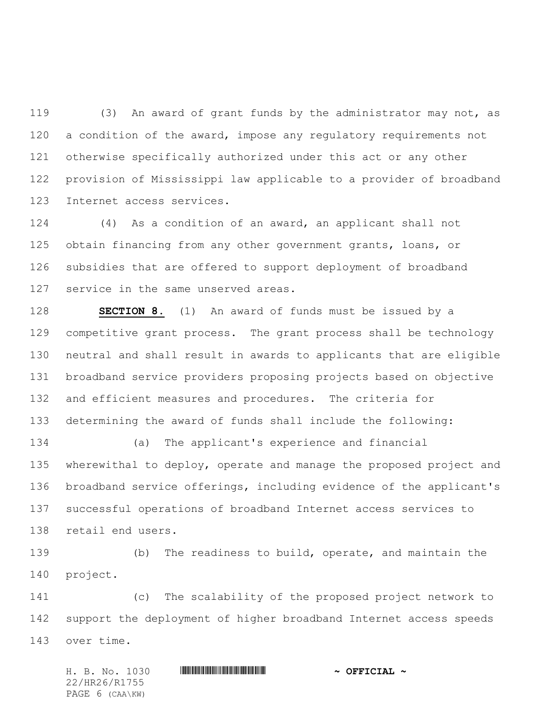(3) An award of grant funds by the administrator may not, as 120 a condition of the award, impose any regulatory requirements not otherwise specifically authorized under this act or any other provision of Mississippi law applicable to a provider of broadband Internet access services.

 (4) As a condition of an award, an applicant shall not obtain financing from any other government grants, loans, or subsidies that are offered to support deployment of broadband service in the same unserved areas.

 **SECTION 8.** (1) An award of funds must be issued by a competitive grant process. The grant process shall be technology neutral and shall result in awards to applicants that are eligible broadband service providers proposing projects based on objective and efficient measures and procedures. The criteria for determining the award of funds shall include the following:

 (a) The applicant's experience and financial wherewithal to deploy, operate and manage the proposed project and broadband service offerings, including evidence of the applicant's successful operations of broadband Internet access services to retail end users.

 (b) The readiness to build, operate, and maintain the project.

 (c) The scalability of the proposed project network to support the deployment of higher broadband Internet access speeds over time.

H. B. No. 1030 \*HR26/R1755\* **~ OFFICIAL ~** 22/HR26/R1755 PAGE 6 (CAA\KW)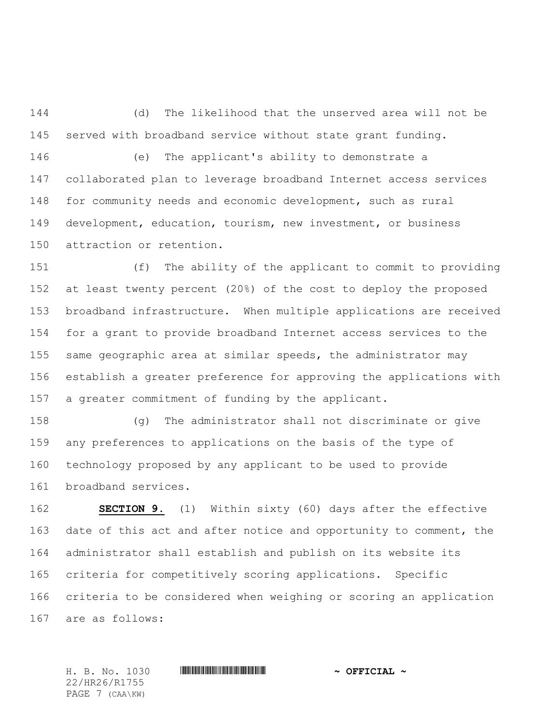(d) The likelihood that the unserved area will not be served with broadband service without state grant funding.

 (e) The applicant's ability to demonstrate a collaborated plan to leverage broadband Internet access services for community needs and economic development, such as rural development, education, tourism, new investment, or business attraction or retention.

 (f) The ability of the applicant to commit to providing at least twenty percent (20%) of the cost to deploy the proposed broadband infrastructure. When multiple applications are received for a grant to provide broadband Internet access services to the same geographic area at similar speeds, the administrator may establish a greater preference for approving the applications with a greater commitment of funding by the applicant.

 (g) The administrator shall not discriminate or give any preferences to applications on the basis of the type of technology proposed by any applicant to be used to provide broadband services.

 **SECTION 9.** (1) Within sixty (60) days after the effective date of this act and after notice and opportunity to comment, the administrator shall establish and publish on its website its criteria for competitively scoring applications. Specific criteria to be considered when weighing or scoring an application are as follows:

22/HR26/R1755 PAGE 7 (CAA\KW)

H. B. No. 1030 \*HR26/R1755\* **~ OFFICIAL ~**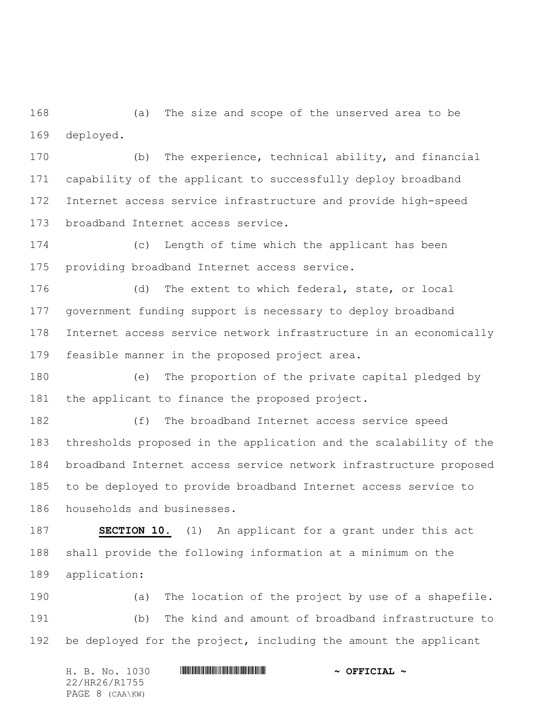(a) The size and scope of the unserved area to be deployed.

 (b) The experience, technical ability, and financial capability of the applicant to successfully deploy broadband Internet access service infrastructure and provide high-speed broadband Internet access service.

 (c) Length of time which the applicant has been providing broadband Internet access service.

 (d) The extent to which federal, state, or local government funding support is necessary to deploy broadband Internet access service network infrastructure in an economically feasible manner in the proposed project area.

 (e) The proportion of the private capital pledged by the applicant to finance the proposed project.

 (f) The broadband Internet access service speed thresholds proposed in the application and the scalability of the broadband Internet access service network infrastructure proposed to be deployed to provide broadband Internet access service to households and businesses.

 **SECTION 10.** (1) An applicant for a grant under this act shall provide the following information at a minimum on the application:

 (a) The location of the project by use of a shapefile. (b) The kind and amount of broadband infrastructure to 192 be deployed for the project, including the amount the applicant

H. B. No. 1030 \*HR26/R1755\* **~ OFFICIAL ~** 22/HR26/R1755 PAGE 8 (CAA\KW)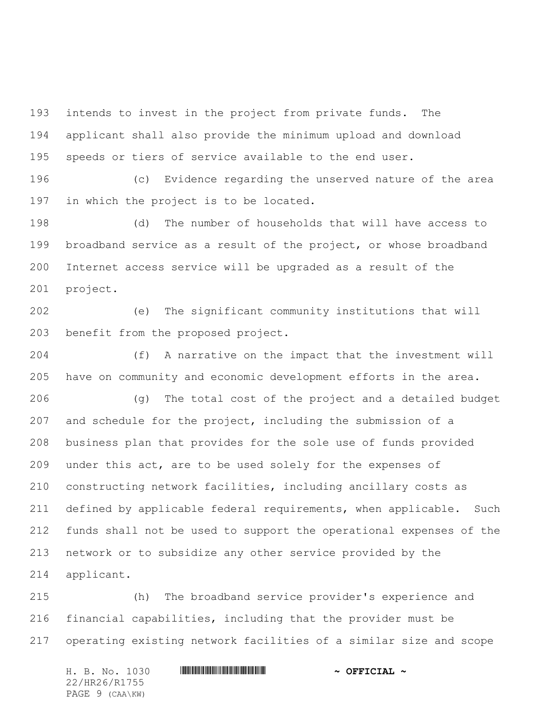intends to invest in the project from private funds. The applicant shall also provide the minimum upload and download speeds or tiers of service available to the end user.

 (c) Evidence regarding the unserved nature of the area in which the project is to be located.

 (d) The number of households that will have access to broadband service as a result of the project, or whose broadband Internet access service will be upgraded as a result of the project.

 (e) The significant community institutions that will benefit from the proposed project.

 (f) A narrative on the impact that the investment will have on community and economic development efforts in the area.

 (g) The total cost of the project and a detailed budget and schedule for the project, including the submission of a business plan that provides for the sole use of funds provided under this act, are to be used solely for the expenses of constructing network facilities, including ancillary costs as 211 defined by applicable federal requirements, when applicable. Such funds shall not be used to support the operational expenses of the network or to subsidize any other service provided by the applicant.

 (h) The broadband service provider's experience and financial capabilities, including that the provider must be operating existing network facilities of a similar size and scope

H. B. No. 1030 \*HR26/R1755\* **~ OFFICIAL ~** 22/HR26/R1755 PAGE 9 (CAA\KW)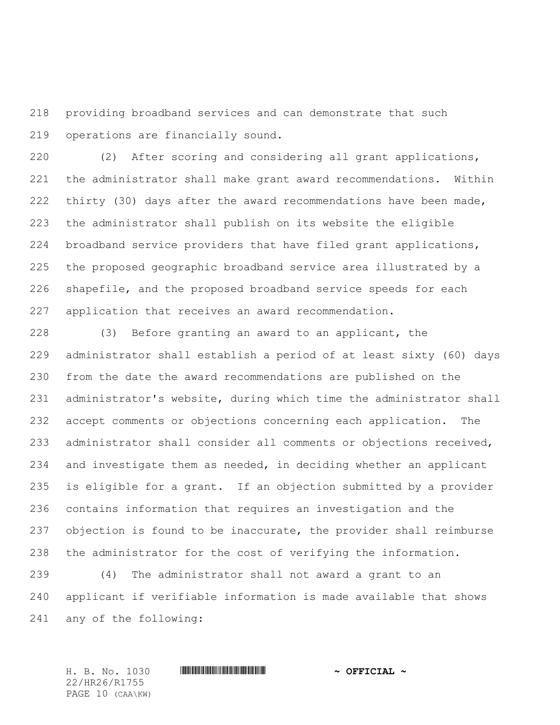providing broadband services and can demonstrate that such operations are financially sound.

 (2) After scoring and considering all grant applications, the administrator shall make grant award recommendations. Within 222 thirty (30) days after the award recommendations have been made, the administrator shall publish on its website the eligible broadband service providers that have filed grant applications, the proposed geographic broadband service area illustrated by a shapefile, and the proposed broadband service speeds for each application that receives an award recommendation.

 (3) Before granting an award to an applicant, the administrator shall establish a period of at least sixty (60) days from the date the award recommendations are published on the administrator's website, during which time the administrator shall accept comments or objections concerning each application. The administrator shall consider all comments or objections received, and investigate them as needed, in deciding whether an applicant is eligible for a grant. If an objection submitted by a provider contains information that requires an investigation and the objection is found to be inaccurate, the provider shall reimburse the administrator for the cost of verifying the information.

 (4) The administrator shall not award a grant to an applicant if verifiable information is made available that shows any of the following:

22/HR26/R1755 PAGE 10 (CAA\KW)

## H. B. No. 1030 \*HR26/R1755\* **~ OFFICIAL ~**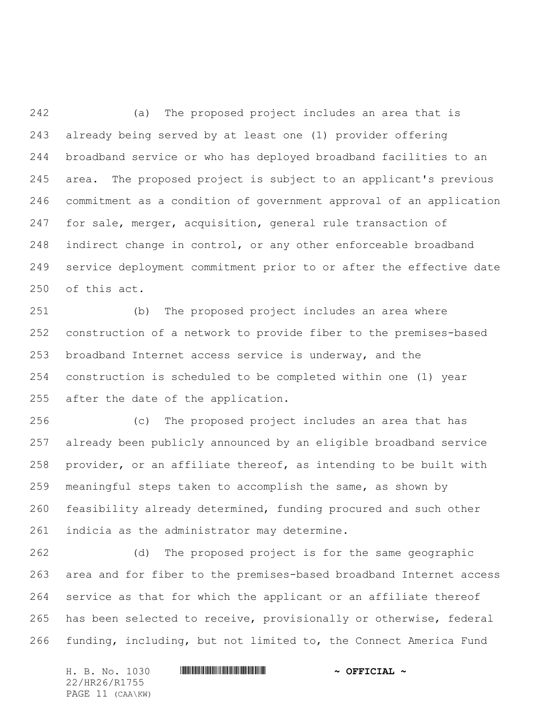(a) The proposed project includes an area that is already being served by at least one (1) provider offering broadband service or who has deployed broadband facilities to an area. The proposed project is subject to an applicant's previous commitment as a condition of government approval of an application for sale, merger, acquisition, general rule transaction of indirect change in control, or any other enforceable broadband service deployment commitment prior to or after the effective date of this act.

 (b) The proposed project includes an area where construction of a network to provide fiber to the premises-based broadband Internet access service is underway, and the construction is scheduled to be completed within one (1) year after the date of the application.

 (c) The proposed project includes an area that has already been publicly announced by an eligible broadband service provider, or an affiliate thereof, as intending to be built with meaningful steps taken to accomplish the same, as shown by feasibility already determined, funding procured and such other indicia as the administrator may determine.

 (d) The proposed project is for the same geographic area and for fiber to the premises-based broadband Internet access service as that for which the applicant or an affiliate thereof has been selected to receive, provisionally or otherwise, federal funding, including, but not limited to, the Connect America Fund

H. B. No. 1030 \*HR26/R1755\* **~ OFFICIAL ~** 22/HR26/R1755 PAGE 11 (CAA\KW)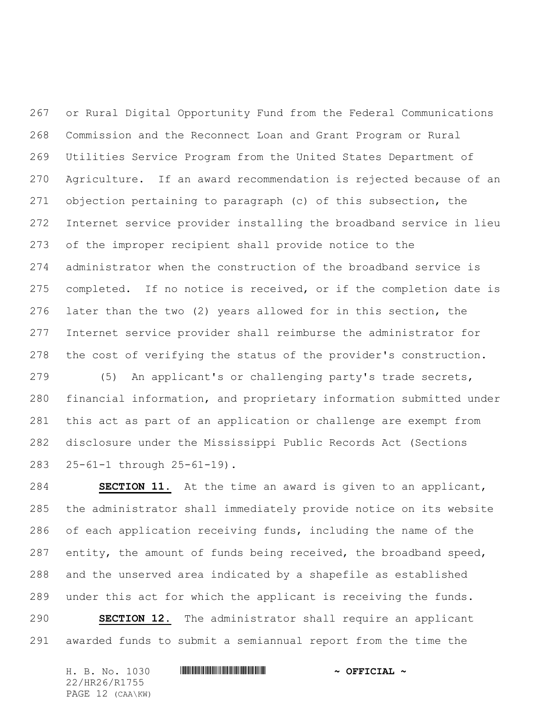or Rural Digital Opportunity Fund from the Federal Communications Commission and the Reconnect Loan and Grant Program or Rural Utilities Service Program from the United States Department of Agriculture. If an award recommendation is rejected because of an objection pertaining to paragraph (c) of this subsection, the Internet service provider installing the broadband service in lieu of the improper recipient shall provide notice to the administrator when the construction of the broadband service is completed. If no notice is received, or if the completion date is later than the two (2) years allowed for in this section, the Internet service provider shall reimburse the administrator for the cost of verifying the status of the provider's construction.

 (5) An applicant's or challenging party's trade secrets, financial information, and proprietary information submitted under this act as part of an application or challenge are exempt from disclosure under the Mississippi Public Records Act (Sections 25-61-1 through 25-61-19).

 **SECTION 11.** At the time an award is given to an applicant, the administrator shall immediately provide notice on its website of each application receiving funds, including the name of the 287 entity, the amount of funds being received, the broadband speed, and the unserved area indicated by a shapefile as established under this act for which the applicant is receiving the funds.

 **SECTION 12.** The administrator shall require an applicant awarded funds to submit a semiannual report from the time the

H. B. No. 1030 \*HR26/R1755\* **~ OFFICIAL ~** 22/HR26/R1755 PAGE 12 (CAA\KW)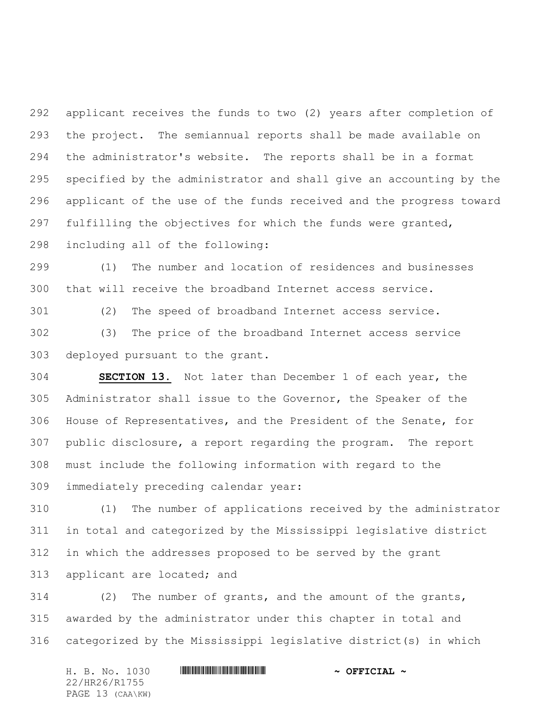applicant receives the funds to two (2) years after completion of the project. The semiannual reports shall be made available on the administrator's website. The reports shall be in a format specified by the administrator and shall give an accounting by the applicant of the use of the funds received and the progress toward fulfilling the objectives for which the funds were granted, including all of the following:

 (1) The number and location of residences and businesses that will receive the broadband Internet access service.

(2) The speed of broadband Internet access service.

 (3) The price of the broadband Internet access service deployed pursuant to the grant.

 **SECTION 13.** Not later than December 1 of each year, the Administrator shall issue to the Governor, the Speaker of the House of Representatives, and the President of the Senate, for public disclosure, a report regarding the program. The report must include the following information with regard to the immediately preceding calendar year:

 (1) The number of applications received by the administrator in total and categorized by the Mississippi legislative district in which the addresses proposed to be served by the grant applicant are located; and

 (2) The number of grants, and the amount of the grants, awarded by the administrator under this chapter in total and categorized by the Mississippi legislative district(s) in which

H. B. No. 1030 **. HREFICIAL ~ OFFICIAL ~** 22/HR26/R1755 PAGE 13 (CAA\KW)